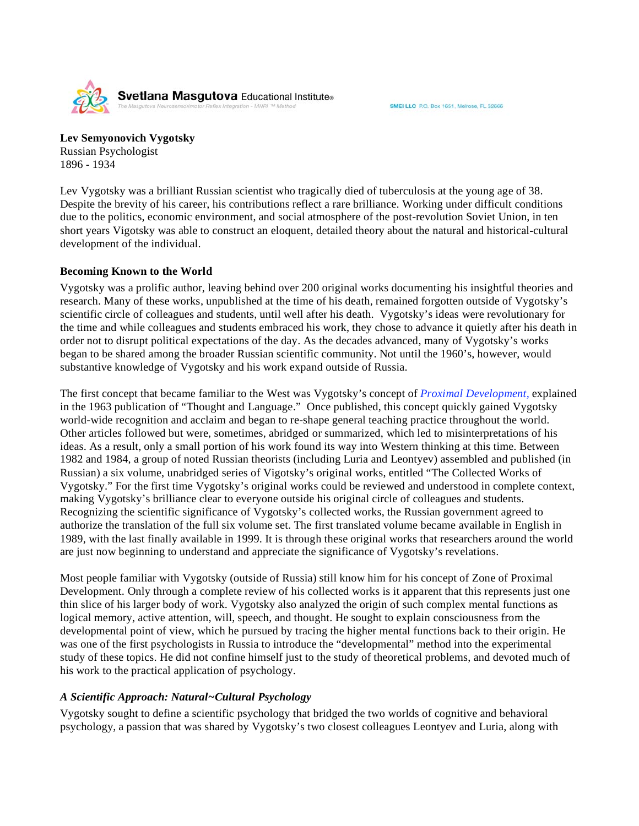SMEI LLC P.O. Box 1651, Melrose, FL 32666

Svetlana Masgutova Educational Institute®

**Lev Semyonovich Vygotsky**  Russian Psychologist 1896 - 1934

Lev Vygotsky was a brilliant Russian scientist who tragically died of tuberculosis at the young age of 38. Despite the brevity of his career, his contributions reflect a rare brilliance. Working under difficult conditions due to the politics, economic environment, and social atmosphere of the post-revolution Soviet Union, in ten short years Vigotsky was able to construct an eloquent, detailed theory about the natural and historical-cultural development of the individual.

## **Becoming Known to the World**

Vygotsky was a prolific author, leaving behind over 200 original works documenting his insightful theories and research. Many of these works, unpublished at the time of his death, remained forgotten outside of Vygotsky's scientific circle of colleagues and students, until well after his death. Vygotsky's ideas were revolutionary for the time and while colleagues and students embraced his work, they chose to advance it quietly after his death in order not to disrupt political expectations of the day. As the decades advanced, many of Vygotsky's works began to be shared among the broader Russian scientific community. Not until the 1960's, however, would substantive knowledge of Vygotsky and his work expand outside of Russia.

The first concept that became familiar to the West was Vygotsky's concept of *Proximal Development,* explained in the 1963 publication of "Thought and Language." Once published, this concept quickly gained Vygotsky world-wide recognition and acclaim and began to re-shape general teaching practice throughout the world. Other articles followed but were, sometimes, abridged or summarized, which led to misinterpretations of his ideas. As a result, only a small portion of his work found its way into Western thinking at this time. Between 1982 and 1984, a group of noted Russian theorists (including Luria and Leontyev) assembled and published (in Russian) a six volume, unabridged series of Vigotsky's original works, entitled "The Collected Works of Vygotsky." For the first time Vygotsky's original works could be reviewed and understood in complete context, making Vygotsky's brilliance clear to everyone outside his original circle of colleagues and students. Recognizing the scientific significance of Vygotsky's collected works, the Russian government agreed to authorize the translation of the full six volume set. The first translated volume became available in English in 1989, with the last finally available in 1999. It is through these original works that researchers around the world are just now beginning to understand and appreciate the significance of Vygotsky's revelations.

Most people familiar with Vygotsky (outside of Russia) still know him for his concept of Zone of Proximal Development. Only through a complete review of his collected works is it apparent that this represents just one thin slice of his larger body of work. Vygotsky also analyzed the origin of such complex mental functions as logical memory, active attention, will, speech, and thought. He sought to explain consciousness from the developmental point of view, which he pursued by tracing the higher mental functions back to their origin. He was one of the first psychologists in Russia to introduce the "developmental" method into the experimental study of these topics. He did not confine himself just to the study of theoretical problems, and devoted much of his work to the practical application of psychology.

# *A Scientific Approach: Natural~Cultural Psychology*

Vygotsky sought to define a scientific psychology that bridged the two worlds of cognitive and behavioral psychology, a passion that was shared by Vygotsky's two closest colleagues Leontyev and Luria, along with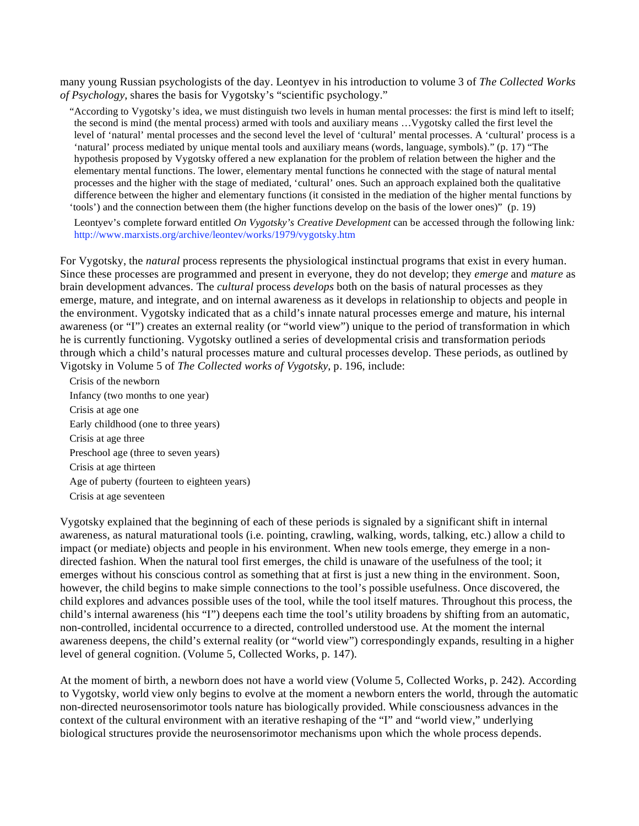many young Russian psychologists of the day. Leontyev in his introduction to volume 3 of *The Collected Works of Psychology*, shares the basis for Vygotsky's "scientific psychology."

"According to Vygotsky's idea, we must distinguish two levels in human mental processes: the first is mind left to itself; the second is mind (the mental process) armed with tools and auxiliary means …Vygotsky called the first level the level of 'natural' mental processes and the second level the level of 'cultural' mental processes. A 'cultural' process is a 'natural' process mediated by unique mental tools and auxiliary means (words, language, symbols)." (p. 17) "The hypothesis proposed by Vygotsky offered a new explanation for the problem of relation between the higher and the elementary mental functions. The lower, elementary mental functions he connected with the stage of natural mental processes and the higher with the stage of mediated, 'cultural' ones. Such an approach explained both the qualitative difference between the higher and elementary functions (it consisted in the mediation of the higher mental functions by 'tools') and the connection between them (the higher functions develop on the basis of the lower ones)" (p. 19)

 Leontyev's complete forward entitled *On Vygotsky's Creative Development* can be accessed through the following link*:*  http://www.marxists.org/archive/leontev/works/1979/vygotsky.htm

For Vygotsky, the *natural* process represents the physiological instinctual programs that exist in every human. Since these processes are programmed and present in everyone, they do not develop; they *emerge* and *mature* as brain development advances. The *cultural* process *develops* both on the basis of natural processes as they emerge, mature, and integrate, and on internal awareness as it develops in relationship to objects and people in the environment. Vygotsky indicated that as a child's innate natural processes emerge and mature, his internal awareness (or "I") creates an external reality (or "world view") unique to the period of transformation in which he is currently functioning. Vygotsky outlined a series of developmental crisis and transformation periods through which a child's natural processes mature and cultural processes develop. These periods, as outlined by Vigotsky in Volume 5 of *The Collected works of Vygotsky*, p. 196, include:

 Crisis of the newborn Infancy (two months to one year) Crisis at age one Early childhood (one to three years) Crisis at age three Preschool age (three to seven years) Crisis at age thirteen Age of puberty (fourteen to eighteen years) Crisis at age seventeen

Vygotsky explained that the beginning of each of these periods is signaled by a significant shift in internal awareness, as natural maturational tools (i.e. pointing, crawling, walking, words, talking, etc.) allow a child to impact (or mediate) objects and people in his environment. When new tools emerge, they emerge in a nondirected fashion. When the natural tool first emerges, the child is unaware of the usefulness of the tool; it emerges without his conscious control as something that at first is just a new thing in the environment. Soon, however, the child begins to make simple connections to the tool's possible usefulness. Once discovered, the child explores and advances possible uses of the tool, while the tool itself matures. Throughout this process, the child's internal awareness (his "I") deepens each time the tool's utility broadens by shifting from an automatic, non-controlled, incidental occurrence to a directed, controlled understood use. At the moment the internal awareness deepens, the child's external reality (or "world view") correspondingly expands, resulting in a higher level of general cognition. (Volume 5, Collected Works, p. 147).

At the moment of birth, a newborn does not have a world view (Volume 5, Collected Works, p. 242). According to Vygotsky, world view only begins to evolve at the moment a newborn enters the world, through the automatic non-directed neurosensorimotor tools nature has biologically provided. While consciousness advances in the context of the cultural environment with an iterative reshaping of the "I" and "world view," underlying biological structures provide the neurosensorimotor mechanisms upon which the whole process depends.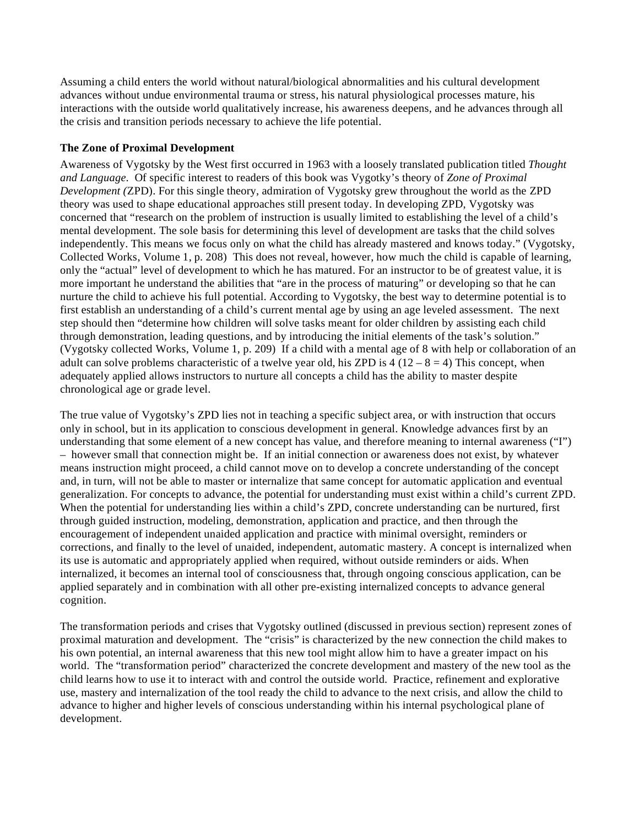Assuming a child enters the world without natural/biological abnormalities and his cultural development advances without undue environmental trauma or stress, his natural physiological processes mature, his interactions with the outside world qualitatively increase, his awareness deepens, and he advances through all the crisis and transition periods necessary to achieve the life potential.

## **The Zone of Proximal Development**

Awareness of Vygotsky by the West first occurred in 1963 with a loosely translated publication titled *Thought and Language*. Of specific interest to readers of this book was Vygotky's theory of *Zone of Proximal Development (*ZPD). For this single theory, admiration of Vygotsky grew throughout the world as the ZPD theory was used to shape educational approaches still present today. In developing ZPD, Vygotsky was concerned that "research on the problem of instruction is usually limited to establishing the level of a child's mental development. The sole basis for determining this level of development are tasks that the child solves independently. This means we focus only on what the child has already mastered and knows today." (Vygotsky, Collected Works, Volume 1, p. 208) This does not reveal, however, how much the child is capable of learning, only the "actual" level of development to which he has matured. For an instructor to be of greatest value, it is more important he understand the abilities that "are in the process of maturing" or developing so that he can nurture the child to achieve his full potential. According to Vygotsky, the best way to determine potential is to first establish an understanding of a child's current mental age by using an age leveled assessment. The next step should then "determine how children will solve tasks meant for older children by assisting each child through demonstration, leading questions, and by introducing the initial elements of the task's solution." (Vygotsky collected Works, Volume 1, p. 209) If a child with a mental age of 8 with help or collaboration of an adult can solve problems characteristic of a twelve year old, his ZPD is  $4(12 - 8 = 4)$  This concept, when adequately applied allows instructors to nurture all concepts a child has the ability to master despite chronological age or grade level.

The true value of Vygotsky's ZPD lies not in teaching a specific subject area, or with instruction that occurs only in school, but in its application to conscious development in general. Knowledge advances first by an understanding that some element of a new concept has value, and therefore meaning to internal awareness ("I") – however small that connection might be. If an initial connection or awareness does not exist, by whatever means instruction might proceed, a child cannot move on to develop a concrete understanding of the concept and, in turn, will not be able to master or internalize that same concept for automatic application and eventual generalization. For concepts to advance, the potential for understanding must exist within a child's current ZPD. When the potential for understanding lies within a child's ZPD, concrete understanding can be nurtured, first through guided instruction, modeling, demonstration, application and practice, and then through the encouragement of independent unaided application and practice with minimal oversight, reminders or corrections, and finally to the level of unaided, independent, automatic mastery. A concept is internalized when its use is automatic and appropriately applied when required, without outside reminders or aids. When internalized, it becomes an internal tool of consciousness that, through ongoing conscious application, can be applied separately and in combination with all other pre-existing internalized concepts to advance general cognition.

The transformation periods and crises that Vygotsky outlined (discussed in previous section) represent zones of proximal maturation and development. The "crisis" is characterized by the new connection the child makes to his own potential, an internal awareness that this new tool might allow him to have a greater impact on his world. The "transformation period" characterized the concrete development and mastery of the new tool as the child learns how to use it to interact with and control the outside world. Practice, refinement and explorative use, mastery and internalization of the tool ready the child to advance to the next crisis, and allow the child to advance to higher and higher levels of conscious understanding within his internal psychological plane of development.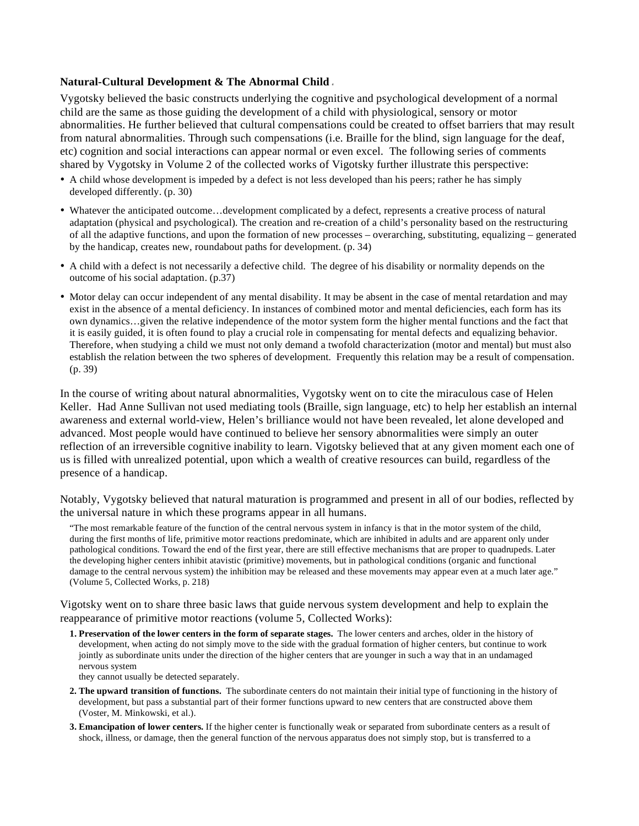### **Natural-Cultural Development & The Abnormal Child** *<sup>4</sup>*

Vygotsky believed the basic constructs underlying the cognitive and psychological development of a normal child are the same as those guiding the development of a child with physiological, sensory or motor abnormalities. He further believed that cultural compensations could be created to offset barriers that may result from natural abnormalities. Through such compensations (i.e. Braille for the blind, sign language for the deaf, etc) cognition and social interactions can appear normal or even excel. The following series of comments shared by Vygotsky in Volume 2 of the collected works of Vigotsky further illustrate this perspective:

- A child whose development is impeded by a defect is not less developed than his peers; rather he has simply developed differently. (p. 30)
- Whatever the anticipated outcome…development complicated by a defect, represents a creative process of natural adaptation (physical and psychological). The creation and re-creation of a child's personality based on the restructuring of all the adaptive functions, and upon the formation of new processes – overarching, substituting, equalizing – generated by the handicap, creates new, roundabout paths for development. (p. 34)
- A child with a defect is not necessarily a defective child. The degree of his disability or normality depends on the outcome of his social adaptation. (p.37)
- Motor delay can occur independent of any mental disability. It may be absent in the case of mental retardation and may exist in the absence of a mental deficiency. In instances of combined motor and mental deficiencies, each form has its own dynamics…given the relative independence of the motor system form the higher mental functions and the fact that it is easily guided, it is often found to play a crucial role in compensating for mental defects and equalizing behavior. Therefore, when studying a child we must not only demand a twofold characterization (motor and mental) but must also establish the relation between the two spheres of development. Frequently this relation may be a result of compensation. (p. 39)

In the course of writing about natural abnormalities, Vygotsky went on to cite the miraculous case of Helen Keller. Had Anne Sullivan not used mediating tools (Braille, sign language, etc) to help her establish an internal awareness and external world-view, Helen's brilliance would not have been revealed, let alone developed and advanced. Most people would have continued to believe her sensory abnormalities were simply an outer reflection of an irreversible cognitive inability to learn. Vigotsky believed that at any given moment each one of us is filled with unrealized potential, upon which a wealth of creative resources can build, regardless of the presence of a handicap.

Notably, Vygotsky believed that natural maturation is programmed and present in all of our bodies, reflected by the universal nature in which these programs appear in all humans.

"The most remarkable feature of the function of the central nervous system in infancy is that in the motor system of the child, during the first months of life, primitive motor reactions predominate, which are inhibited in adults and are apparent only under pathological conditions. Toward the end of the first year, there are still effective mechanisms that are proper to quadrupeds. Later the developing higher centers inhibit atavistic (primitive) movements, but in pathological conditions (organic and functional damage to the central nervous system) the inhibition may be released and these movements may appear even at a much later age." (Volume 5, Collected Works, p. 218)

Vigotsky went on to share three basic laws that guide nervous system development and help to explain the reappearance of primitive motor reactions (volume 5, Collected Works):

 **1. Preservation of the lower centers in the form of separate stages.** The lower centers and arches, older in the history of development, when acting do not simply move to the side with the gradual formation of higher centers, but continue to work jointly as subordinate units under the direction of the higher centers that are younger in such a way that in an undamaged nervous system

they cannot usually be detected separately.

- **2. The upward transition of functions.** The subordinate centers do not maintain their initial type of functioning in the history of development, but pass a substantial part of their former functions upward to new centers that are constructed above them (Voster, M. Minkowski, et al.).
- **3. Emancipation of lower centers.** If the higher center is functionally weak or separated from subordinate centers as a result of shock, illness, or damage, then the general function of the nervous apparatus does not simply stop, but is transferred to a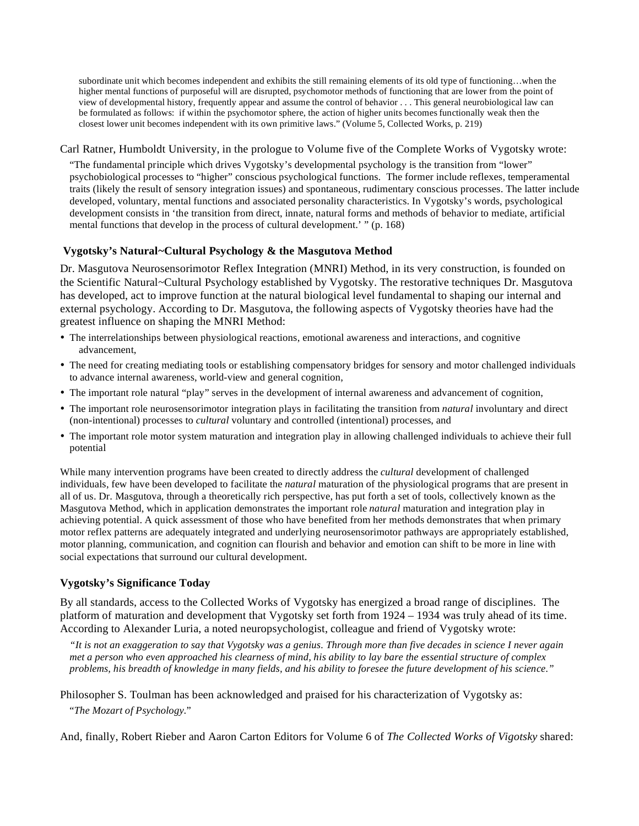subordinate unit which becomes independent and exhibits the still remaining elements of its old type of functioning…when the higher mental functions of purposeful will are disrupted, psychomotor methods of functioning that are lower from the point of view of developmental history, frequently appear and assume the control of behavior . . . This general neurobiological law can be formulated as follows: if within the psychomotor sphere, the action of higher units becomes functionally weak then the closest lower unit becomes independent with its own primitive laws." (Volume 5, Collected Works, p. 219)

### Carl Ratner, Humboldt University, in the prologue to Volume five of the Complete Works of Vygotsky wrote:

"The fundamental principle which drives Vygotsky's developmental psychology is the transition from "lower" psychobiological processes to "higher" conscious psychological functions. The former include reflexes, temperamental traits (likely the result of sensory integration issues) and spontaneous, rudimentary conscious processes. The latter include developed, voluntary, mental functions and associated personality characteristics. In Vygotsky's words, psychological development consists in 'the transition from direct, innate, natural forms and methods of behavior to mediate, artificial mental functions that develop in the process of cultural development.' " (p. 168)

## **Vygotsky's Natural~Cultural Psychology & the Masgutova Method**

Dr. Masgutova Neurosensorimotor Reflex Integration (MNRI) Method, in its very construction, is founded on the Scientific Natural~Cultural Psychology established by Vygotsky. The restorative techniques Dr. Masgutova has developed, act to improve function at the natural biological level fundamental to shaping our internal and external psychology. According to Dr. Masgutova, the following aspects of Vygotsky theories have had the greatest influence on shaping the MNRI Method:

- The interrelationships between physiological reactions, emotional awareness and interactions, and cognitive advancement,
- The need for creating mediating tools or establishing compensatory bridges for sensory and motor challenged individuals to advance internal awareness, world-view and general cognition,
- The important role natural "play" serves in the development of internal awareness and advancement of cognition,
- The important role neurosensorimotor integration plays in facilitating the transition from *natural* involuntary and direct (non-intentional) processes to *cultural* voluntary and controlled (intentional) processes, and
- The important role motor system maturation and integration play in allowing challenged individuals to achieve their full potential

While many intervention programs have been created to directly address the *cultural* development of challenged individuals, few have been developed to facilitate the *natural* maturation of the physiological programs that are present in all of us. Dr. Masgutova, through a theoretically rich perspective, has put forth a set of tools, collectively known as the Masgutova Method, which in application demonstrates the important role *natural* maturation and integration play in achieving potential. A quick assessment of those who have benefited from her methods demonstrates that when primary motor reflex patterns are adequately integrated and underlying neurosensorimotor pathways are appropriately established, motor planning, communication, and cognition can flourish and behavior and emotion can shift to be more in line with social expectations that surround our cultural development.

## **Vygotsky's Significance Today**

By all standards, access to the Collected Works of Vygotsky has energized a broad range of disciplines. The platform of maturation and development that Vygotsky set forth from 1924 – 1934 was truly ahead of its time. According to Alexander Luria, a noted neuropsychologist, colleague and friend of Vygotsky wrote:

*"It is not an exaggeration to say that Vygotsky was a genius. Through more than five decades in science I never again met a person who even approached his clearness of mind, his ability to lay bare the essential structure of complex problems, his breadth of knowledge in many fields, and his ability to foresee the future development of his science."* 

Philosopher S. Toulman has been acknowledged and praised for his characterization of Vygotsky as: "*The Mozart of Psychology*."

And, finally, Robert Rieber and Aaron Carton Editors for Volume 6 of *The Collected Works of Vigotsky* shared: